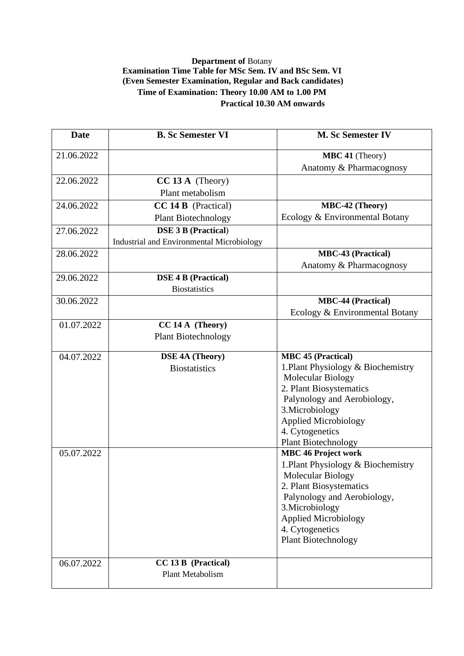## **Department of** Botany **Examination Time Table for MSc Sem. IV and BSc Sem. VI (Even Semester Examination, Regular and Back candidates) Time of Examination: Theory 10.00 AM to 1.00 PM Practical 10.30 AM onwards**

| <b>Date</b> | <b>B.</b> Sc Semester VI                  | <b>M. Sc Semester IV</b>                          |
|-------------|-------------------------------------------|---------------------------------------------------|
| 21.06.2022  |                                           | MBC 41 (Theory)                                   |
|             |                                           | Anatomy & Pharmacognosy                           |
| 22.06.2022  | $CC 13 A$ (Theory)                        |                                                   |
|             | Plant metabolism                          |                                                   |
| 24.06.2022  | <b>CC 14 B</b> (Practical)                | MBC-42 (Theory)                                   |
|             | <b>Plant Biotechnology</b>                | Ecology & Environmental Botany                    |
| 27.06.2022  | <b>DSE 3 B (Practical)</b>                |                                                   |
|             | Industrial and Environmental Microbiology |                                                   |
| 28.06.2022  |                                           | <b>MBC-43 (Practical)</b>                         |
|             |                                           | Anatomy & Pharmacognosy                           |
| 29.06.2022  | <b>DSE 4 B (Practical)</b>                |                                                   |
|             | <b>Biostatistics</b>                      |                                                   |
| 30.06.2022  |                                           | <b>MBC-44 (Practical)</b>                         |
|             |                                           | Ecology & Environmental Botany                    |
| 01.07.2022  | CC 14 A (Theory)                          |                                                   |
|             | <b>Plant Biotechnology</b>                |                                                   |
| 04.07.2022  | <b>DSE 4A (Theory)</b>                    | <b>MBC 45 (Practical)</b>                         |
|             | <b>Biostatistics</b>                      | 1. Plant Physiology & Biochemistry                |
|             |                                           | <b>Molecular Biology</b>                          |
|             |                                           | 2. Plant Biosystematics                           |
|             |                                           | Palynology and Aerobiology,                       |
|             |                                           | 3. Microbiology                                   |
|             |                                           | <b>Applied Microbiology</b>                       |
|             |                                           | 4. Cytogenetics                                   |
|             |                                           | Plant Biotechnology<br><b>MBC 46 Project work</b> |
| 05.07.2022  |                                           |                                                   |
|             |                                           | 1. Plant Physiology & Biochemistry                |
|             |                                           | Molecular Biology<br>2. Plant Biosystematics      |
|             |                                           | Palynology and Aerobiology,                       |
|             |                                           | 3. Microbiology                                   |
|             |                                           | <b>Applied Microbiology</b>                       |
|             |                                           | 4. Cytogenetics                                   |
|             |                                           | <b>Plant Biotechnology</b>                        |
|             |                                           |                                                   |
| 06.07.2022  | <b>CC 13 B</b> (Practical)                |                                                   |
|             | Plant Metabolism                          |                                                   |
|             |                                           |                                                   |